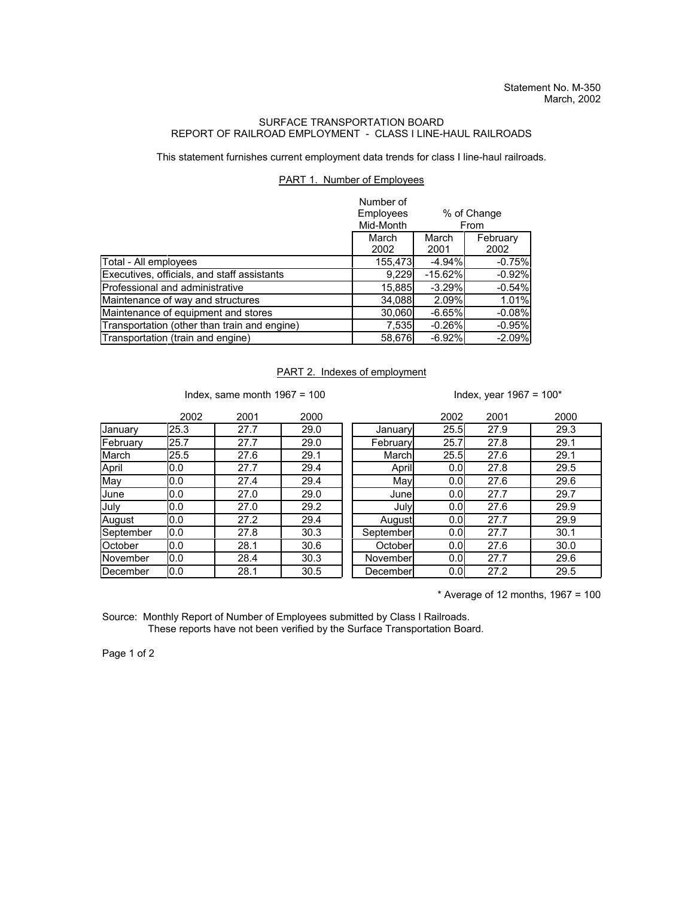## SURFACE TRANSPORTATION BOARD REPORT OF RAILROAD EMPLOYMENT - CLASS I LINE-HAUL RAILROADS

This statement furnishes current employment data trends for class I line-haul railroads.

## PART 1. Number of Employees

|                                              | Number of<br>Employees<br>% of Change<br>Mid-Month<br>From |               |                  |
|----------------------------------------------|------------------------------------------------------------|---------------|------------------|
|                                              | March<br>2002                                              | March<br>2001 | February<br>2002 |
| Total - All employees                        | 155,473                                                    | $-4.94%$      | $-0.75%$         |
| Executives, officials, and staff assistants  | 9,229                                                      | $-15.62%$     | $-0.92%$         |
| Professional and administrative              | 15,885                                                     | $-3.29%$      | $-0.54%$         |
| Maintenance of way and structures            | 34,088                                                     | 2.09%         | 1.01%            |
| Maintenance of equipment and stores          | 30,060                                                     | $-6.65%$      | $-0.08%$         |
| Transportation (other than train and engine) | 7,535                                                      | $-0.26%$      | $-0.95%$         |
| Transportation (train and engine)            | 58,676                                                     | $-6.92%$      | $-2.09%$         |

## PART 2. Indexes of employment

Index, same month 1967 = 100  $\blacksquare$  Index, year 1967 = 100\*

|           | 2002 | 2001 | 2000 |           | 2002             | 2001 | 2000 |
|-----------|------|------|------|-----------|------------------|------|------|
| January   | 25.3 | 27.7 | 29.0 | January   | 25.5             | 27.9 | 29.3 |
| February  | 25.7 | 27.7 | 29.0 | February  | 25.7             | 27.8 | 29.1 |
| March     | 25.5 | 27.6 | 29.1 | March     | 25.5             | 27.6 | 29.1 |
| April     | 0.0  | 27.7 | 29.4 | April     | 0.0 <sub>l</sub> | 27.8 | 29.5 |
| May       | 0.0  | 27.4 | 29.4 | May       | 0.0              | 27.6 | 29.6 |
| June      | 0.0  | 27.0 | 29.0 | Junel     | 0.0              | 27.7 | 29.7 |
| July      | 0.0  | 27.0 | 29.2 | July      | 0.0              | 27.6 | 29.9 |
| August    | 0.0  | 27.2 | 29.4 | August    | 0.0 <sub>l</sub> | 27.7 | 29.9 |
| September | 0.0  | 27.8 | 30.3 | September | 0.0 <sub>l</sub> | 27.7 | 30.1 |
| October   | 0.0  | 28.1 | 30.6 | October   | 0.0              | 27.6 | 30.0 |
| November  | 0.0  | 28.4 | 30.3 | November  | 0.0 <sub>l</sub> | 27.7 | 29.6 |
| December  | 0.0  | 28.1 | 30.5 | December  | 0.0              | 27.2 | 29.5 |

 $*$  Average of 12 months, 1967 = 100

Source: Monthly Report of Number of Employees submitted by Class I Railroads. These reports have not been verified by the Surface Transportation Board.

Page 1 of 2